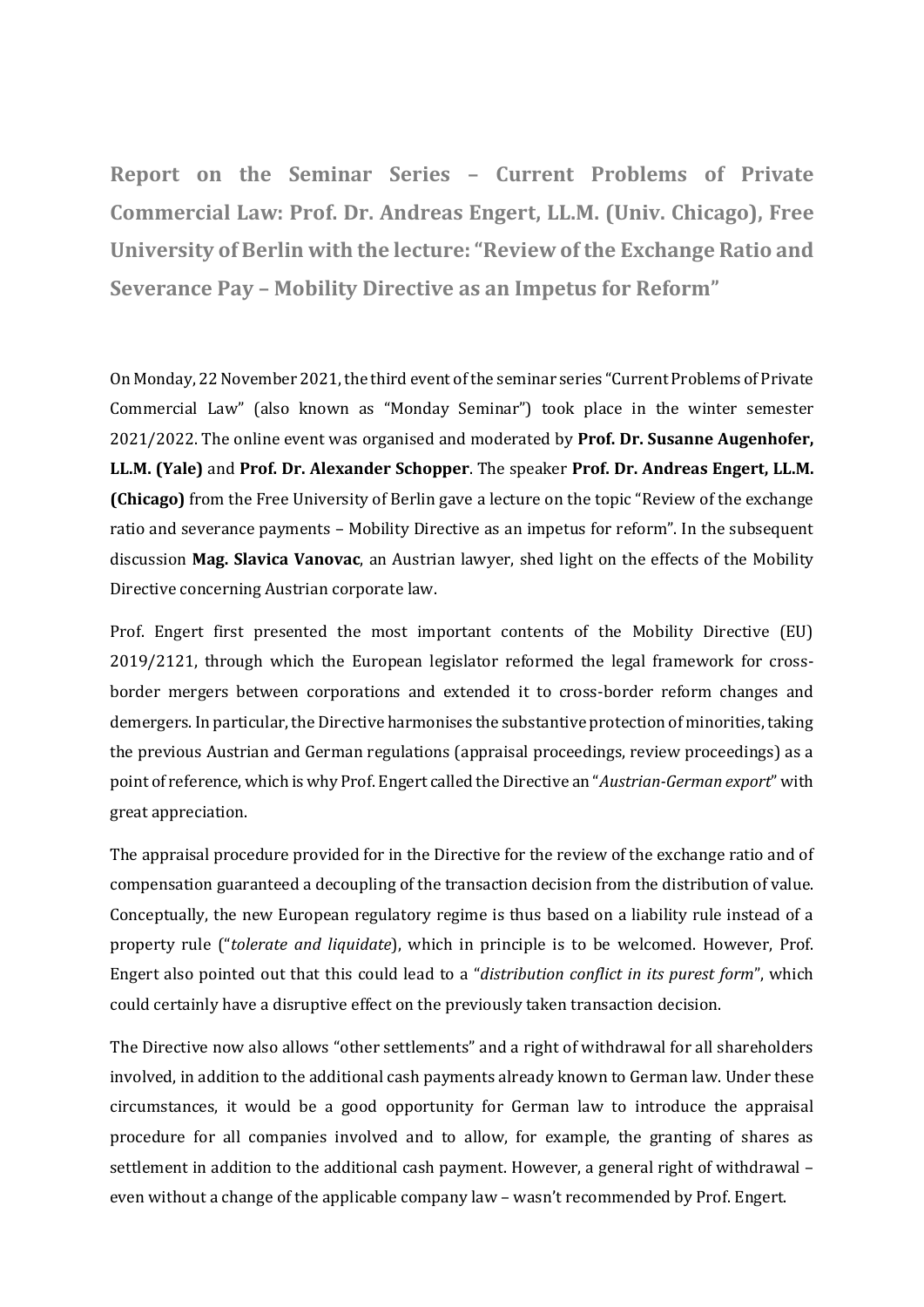**Report on the Seminar Series – Current Problems of Private Commercial Law: Prof. Dr. Andreas Engert, LL.M. (Univ. Chicago), Free University of Berlin with the lecture: "Review of the Exchange Ratio and Severance Pay – Mobility Directive as an Impetus for Reform"**

On Monday, 22 November 2021, the third event of the seminar series "Current Problems of Private Commercial Law" (also known as "Monday Seminar") took place in the winter semester 2021/2022. The online event was organised and moderated by **Prof. Dr. Susanne Augenhofer, LL.M. (Yale)** and **Prof. Dr. Alexander Schopper**. The speaker **Prof. Dr. Andreas Engert, LL.M. (Chicago)** from the Free University of Berlin gave a lecture on the topic "Review of the exchange ratio and severance payments – Mobility Directive as an impetus for reform". In the subsequent discussion **Mag. Slavica Vanovac**, an Austrian lawyer, shed light on the effects of the Mobility Directive concerning Austrian corporate law.

Prof. Engert first presented the most important contents of the Mobility Directive (EU) 2019/2121, through which the European legislator reformed the legal framework for crossborder mergers between corporations and extended it to cross-border reform changes and demergers. In particular, the Directive harmonises the substantive protection of minorities, taking the previous Austrian and German regulations (appraisal proceedings, review proceedings) as a point of reference, which is why Prof. Engert called the Directive an "*Austrian-German export*" with great appreciation.

The appraisal procedure provided for in the Directive for the review of the exchange ratio and of compensation guaranteed a decoupling of the transaction decision from the distribution of value. Conceptually, the new European regulatory regime is thus based on a liability rule instead of a property rule ("*tolerate and liquidate*), which in principle is to be welcomed. However, Prof. Engert also pointed out that this could lead to a "*distribution conflict in its purest form*", which could certainly have a disruptive effect on the previously taken transaction decision.

The Directive now also allows "other settlements" and a right of withdrawal for all shareholders involved, in addition to the additional cash payments already known to German law. Under these circumstances, it would be a good opportunity for German law to introduce the appraisal procedure for all companies involved and to allow, for example, the granting of shares as settlement in addition to the additional cash payment. However, a general right of withdrawal – even without a change of the applicable company law – wasn't recommended by Prof. Engert.